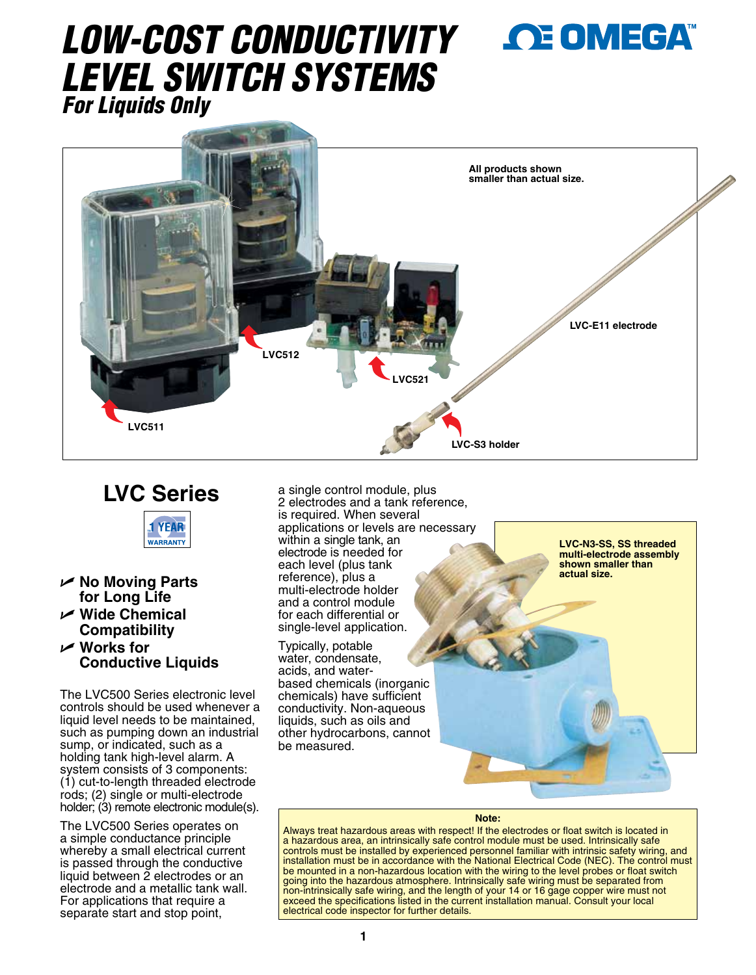# *LOW-COST CONDUCTIVITY LEVEL SWITCH SYSTEMS For Liquids Only*



# **LVC Series**



- U **No Moving Parts for Long Life**
- U **Wide Chemical Compatibility**
- U **Works for Conductive Liquids**

The LVC500 Series electronic level controls should be used whenever a liquid level needs to be maintained, such as pumping down an industrial sump, or indicated, such as a holding tank high-level alarm. A system consists of 3 components: (1) cut-to-length threaded electrode rods; (2) single or multi-electrode holder; (3) remote electronic module(s).

The LVC500 Series operates on a simple conductance principle whereby a small electrical current is passed through the conductive liquid between 2 electrodes or an electrode and a metallic tank wall. For applications that require a separate start and stop point,

a single control module, plus 2 electrodes and a tank reference, is required. When several applications or levels are necessary within a single tank, an electrode is needed for each level (plus tank reference), plus a multi-electrode holder and a control module for each differential or single-level application.

Typically, potable water, condensate, acids, and waterbased chemicals (inorganic chemicals) have sufficient conductivity. Non-aqueous liquids, such as oils and other hydrocarbons, cannot be measured.

**LVC-N3-SS, SS threaded multi-electrode assembly shown smaller than actual size.**

#### **Note:**

Always treat hazardous areas with respect! If the electrodes or float switch is located in a hazardous area, an intrinsically safe control module must be used. Intrinsically safe controls must be installed by experienced personnel familiar with intrinsic safety wiring, and installation must be in accordance with the National Electrical Code (NEC). The control must be mounted in a non-hazardous location with the wiring to the level probes or float switch going into the hazardous atmosphere. Intrinsically safe wiring must be separated from non-intrinsically safe wiring, and the length of your 14 or 16 gage copper wire must not exceed the specifications listed in the current installation manual. Consult your local electrical code inspector for further details.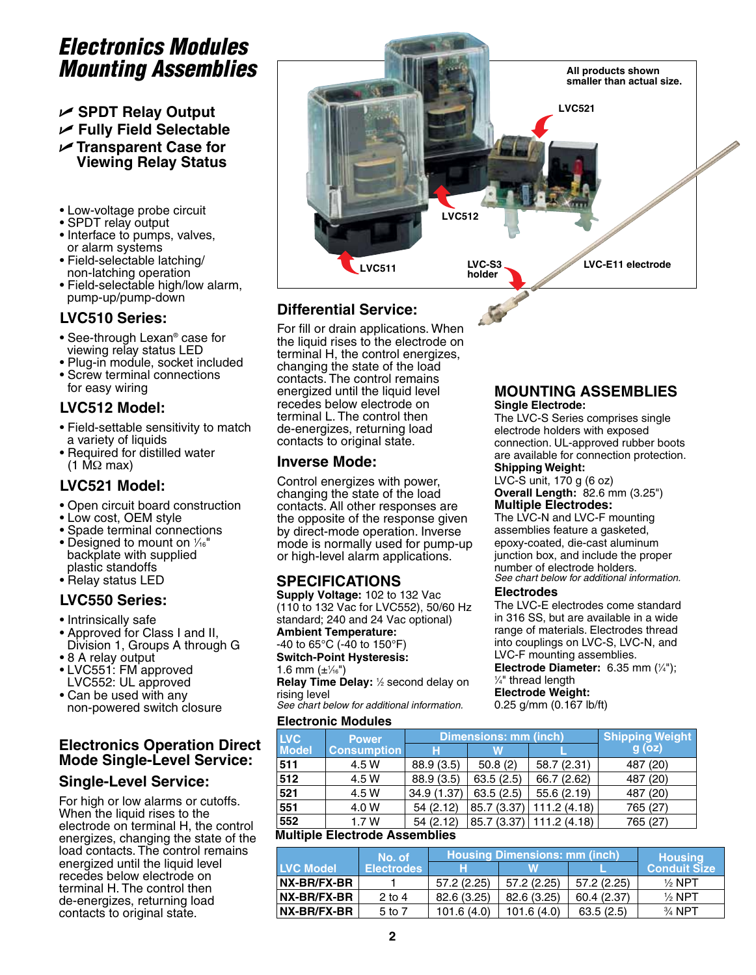# *Electronics Modules Mounting Assemblies*

### U **SPDT Relay Output** U **Fully Field Selectable** U **Transparent Case for Viewing Relay Status**

- Low-voltage probe circuit
- SPDT relay output
- Interface to pumps, valves, or alarm systems
- Field-selectable latching/ non-latching operation
- Field-selectable high/low alarm, pump-up/pump-down

### **LVC510 Series:**

- See-through Lexan® case for viewing relay status LED
- Plug-in module, socket included • Screw terminal connections for easy wiring

## **LVC512 Model:**

- Field-settable sensitivity to match a variety of liquids
- Required for distilled water (1 MΩ max)

## **LVC521 Model:**

- Open circuit board construction
- Low cost, OEM style
- Spade terminal connections
- Designed to mount on  $\frac{1}{16}$ " backplate with supplied plastic standoffs
- Relay status LED

## **LVC550 Series:**

- Intrinsically safe
- Approved for Class I and II, Division 1, Groups A through G
- 8 A relay output
- LVC551: FM approved LVC552: UL approved
- Can be used with any non-powered switch closure

## **Electronics Operation Direct Mode Single-Level Service:**

## **Single-Level Service:**

For high or low alarms or cutoffs. When the liquid rises to the electrode on terminal H, the control energizes, changing the state of the load contacts. The control remains energized until the liquid level recedes below electrode on terminal H. The control then de-energizes, returning load contacts to original state.



# **Differential Service:**

For fill or drain applications. When the liquid rises to the electrode on terminal H, the control energizes, changing the state of the load contacts. The control remains energized until the liquid level recedes below electrode on terminal L. The control then de-energizes, returning load contacts to original state.

## **Inverse Mode:**

Control energizes with power, changing the state of the load contacts. All other responses are the opposite of the response given by direct-mode operation. Inverse mode is normally used for pump-up or high-level alarm applications.

## **SPECIFICATIONS**

**Supply Voltage:** 102 to 132 Vac (110 to 132 Vac for LVC552), 50/60 Hz standard; 240 and 24 Vac optional) **Ambient Temperature:**  -40 to 65°C (-40 to 150°F)

**Switch-Point Hysteresis:** 1.6 mm  $(\pm\frac{1}{16})$ 

Relay Time Delay: 1/2 second delay on rising level

*See chart below for additional information.*

#### **Electronic Modules**

#### **MOUNTING ASSEMBLIES Single Electrode:**

The LVC-S Series comprises single electrode holders with exposed connection. UL-approved rubber boots are available for connection protection. **Shipping Weight:** 

LVC-S unit, 170 g (6 oz) **Overall Length:** 82.6 mm (3.25") **Multiple Electrodes:**

The LVC-N and LVC-F mounting assemblies feature a gasketed, epoxy-coated, die-cast aluminum junction box, and include the proper number of electrode holders. *See chart below for additional information.*

#### **Electrodes**

The LVC-E electrodes come standard in 316 SS, but are available in a wide range of materials. Electrodes thread into couplings on LVC-S, LVC-N, and LVC-F mounting assemblies.

**Electrode Diameter:** 6.35 mm (¼");<br>¼" thread length ⁄4" thread length

### **Electrode Weight:**

0.25 g/mm (0.167 lb/ft)

| <b>LVC</b>                    | <b>Power</b>       |             | <b>Dimensions: mm (inch)</b> | <b>Shipping Weight</b>     |          |  |
|-------------------------------|--------------------|-------------|------------------------------|----------------------------|----------|--|
| <b>Model</b>                  | <b>Consumption</b> | н           | W                            |                            | $g$ (oz) |  |
| 511                           | 4.5 W              | 88.9 (3.5)  | 50.8(2)                      | 58.7 (2.31)                | 487 (20) |  |
| 512                           | 4.5 W              | 88.9 (3.5)  | 63.5(2.5)                    | 66.7 (2.62)                | 487 (20) |  |
| 521                           | 4.5 W              | 34.9 (1.37) | 63.5(2.5)                    | 55.6 (2.19)                | 487 (20) |  |
| 551                           | 4.0 W              | 54(2.12)    | 85.7 (3.37)                  | 111.2 (4.18)               | 765 (27) |  |
| 552                           | 1.7W               | 54(2.12)    |                              | 85.7 (3.37)   111.2 (4.18) | 765 (27) |  |
| Jultinla Elaatrada Accambliac |                    |             |                              |                            |          |  |

### **Multiple Electrode Assemblies**

|                  | 'No. of           | <b>Housing Dimensions: mm (inch)</b> |             |             | <b>Housing</b>      |
|------------------|-------------------|--------------------------------------|-------------|-------------|---------------------|
| <b>LVC Model</b> | <b>Electrodes</b> | н                                    | W           |             | <b>Conduit Size</b> |
| NX-BR/FX-BR      |                   | 57.2 (2.25)                          | 57.2 (2.25) | 57.2 (2.25) | $\frac{1}{2}$ NPT   |
| NX-BR/FX-BR      | $2$ to 4          | 82.6 (3.25)                          | 82.6 (3.25) | 60.4 (2.37) | $\frac{1}{2}$ NPT   |
| NX-BR/FX-BR      | 5 to 7            | 101.6(4.0)                           | 101.6(4.0)  | 63.5(2.5)   | $\frac{3}{4}$ NPT   |